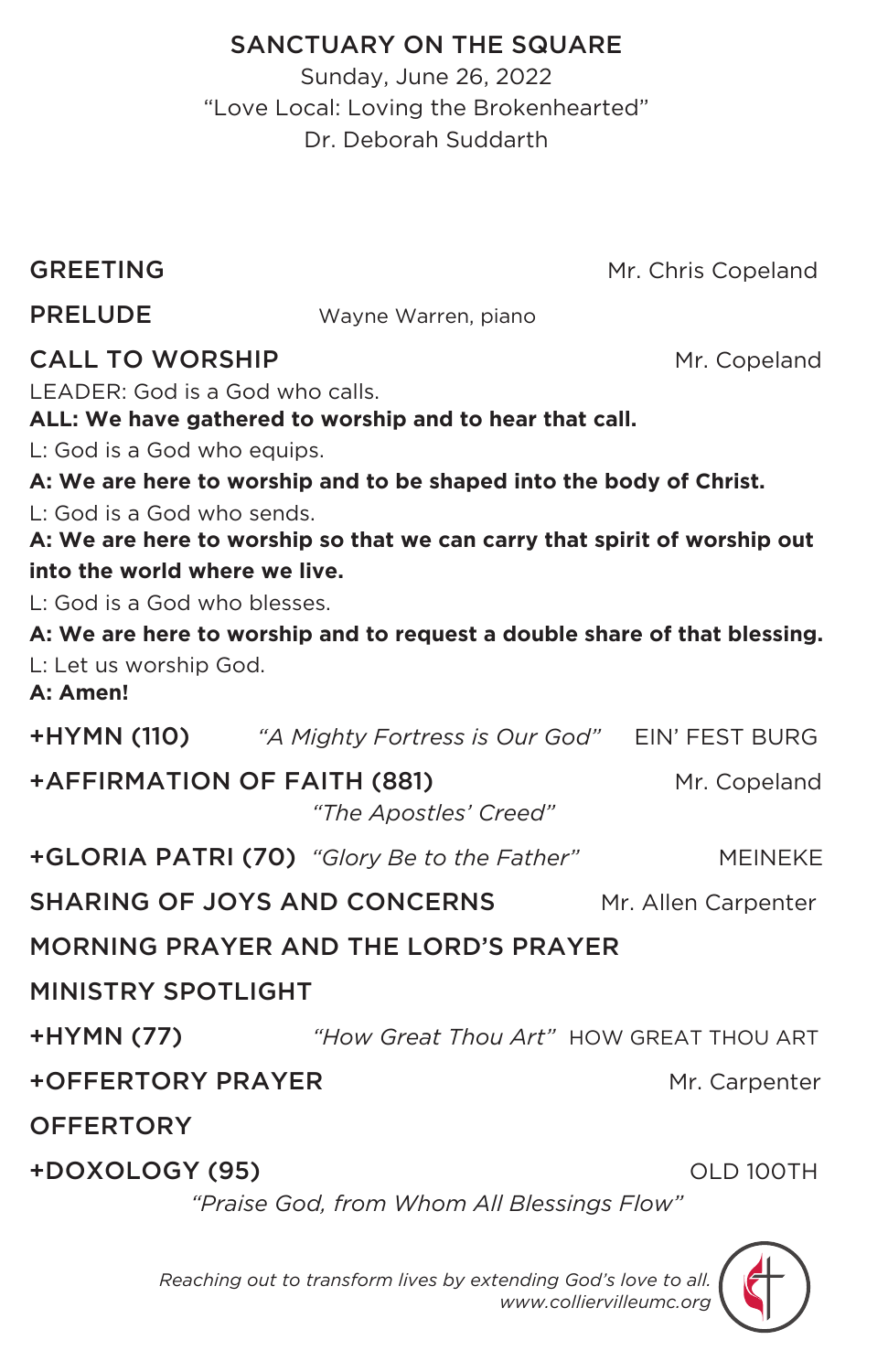# SANCTUARY ON THE SQUARE

Sunday, June 26, 2022 "Love Local: Loving the Brokenhearted" Dr. Deborah Suddarth

| <b>GREETING</b>                      |                                                                           | Mr. Chris Copeland  |  |  |
|--------------------------------------|---------------------------------------------------------------------------|---------------------|--|--|
| <b>PRELUDE</b>                       | Wayne Warren, piano                                                       |                     |  |  |
| <b>CALL TO WORSHIP</b>               |                                                                           | Mr. Copeland        |  |  |
| LEADER: God is a God who calls.      | ALL: We have gathered to worship and to hear that call.                   |                     |  |  |
| L: God is a God who equips.          |                                                                           |                     |  |  |
|                                      | A: We are here to worship and to be shaped into the body of Christ.       |                     |  |  |
| L: God is a God who sends.           |                                                                           |                     |  |  |
|                                      | A: We are here to worship so that we can carry that spirit of worship out |                     |  |  |
| into the world where we live.        |                                                                           |                     |  |  |
| L: God is a God who blesses.         |                                                                           |                     |  |  |
|                                      | A: We are here to worship and to request a double share of that blessing. |                     |  |  |
| L: Let us worship God.<br>A: Amen!   |                                                                           |                     |  |  |
|                                      | <b>+HYMN (110)</b> "A Mighty Fortress is Our God" EIN' FEST BURG          |                     |  |  |
| +AFFIRMATION OF FAITH (881)          | "The Apostles' Creed"                                                     | Mr. Copeland        |  |  |
|                                      | +GLORIA PATRI (70) "Glory Be to the Father"                               | <b>MEINEKE</b>      |  |  |
|                                      | <b>SHARING OF JOYS AND CONCERNS</b>                                       | Mr. Allen Carpenter |  |  |
| MORNING PRAYER AND THE LORD'S PRAYER |                                                                           |                     |  |  |
| <b>MINISTRY SPOTLIGHT</b>            |                                                                           |                     |  |  |
| +HYMN (77)                           | "How Great Thou Art" HOW GREAT THOU ART                                   |                     |  |  |
| <b>+OFFERTORY PRAYER</b>             |                                                                           | Mr. Carpenter       |  |  |
| <b>OFFERTORY</b>                     |                                                                           |                     |  |  |
| +DOXOLOGY (95)                       | "Praise God, from Whom All Blessings Flow"                                | OLD 100TH           |  |  |
|                                      |                                                                           |                     |  |  |